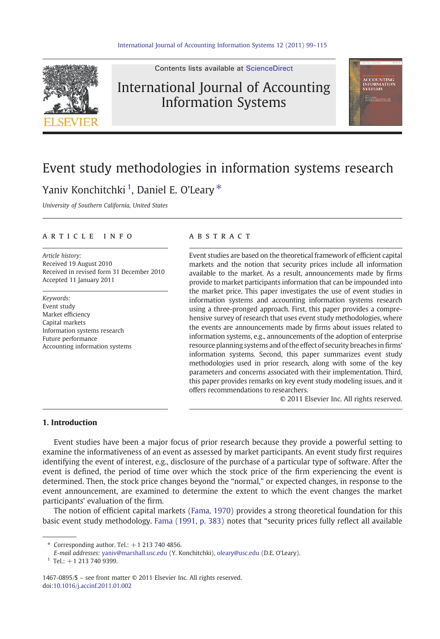

Contents lists available at [ScienceDirect](http://www.sciencedirect.com/science/journal/14670895)

## International Journal of Accounting Information Systems



## Event study methodologies in information systems research

Yaniv Konchitchki <sup>1</sup>, Daniel E. O'Leary  $^\ast$ 

University of Southern California, United States

#### article info abstract

Article history: Received 19 August 2010 Received in revised form 31 December 2010 Accepted 11 January 2011

Keywords: Event study Market efficiency Capital markets Information systems research Future performance Accounting information systems

Event studies are based on the theoretical framework of efficient capital markets and the notion that security prices include all information available to the market. As a result, announcements made by firms provide to market participants information that can be impounded into the market price. This paper investigates the use of event studies in information systems and accounting information systems research using a three-pronged approach. First, this paper provides a comprehensive survey of research that uses event study methodologies, where the events are announcements made by firms about issues related to information systems, e.g., announcements of the adoption of enterprise resource planning systems and of the effect of security breaches in firms' information systems. Second, this paper summarizes event study methodologies used in prior research, along with some of the key parameters and concerns associated with their implementation. Third, this paper provides remarks on key event study modeling issues, and it offers recommendations to researchers.

© 2011 Elsevier Inc. All rights reserved.

### 1. Introduction

Event studies have been a major focus of prior research because they provide a powerful setting to examine the informativeness of an event as assessed by market participants. An event study first requires identifying the event of interest, e.g., disclosure of the purchase of a particular type of software. After the event is defined, the period of time over which the stock price of the firm experiencing the event is determined. Then, the stock price changes beyond the "normal," or expected changes, in response to the event announcement, are examined to determine the extent to which the event changes the market participants' evaluation of the firm.

The notion of efficient capital markets [\(Fama, 1970](#page--1-0)) provides a strong theoretical foundation for this basic event study methodology. [Fama \(1991, p. 383\)](#page--1-0) notes that "security prices fully reflect all available

1467-0895/\$ – see front matter © 2011 Elsevier Inc. All rights reserved. doi:[10.1016/j.accinf.2011.01.002](http://dx.doi.org/10.1016/j.accinf.2011.01.002)

Corresponding author. Tel.:  $+1$  213 740 4856.

E-mail addresses: [yaniv@marshall.usc.edu](mailto:yaniv@marshall.usc.edu) (Y. Konchitchki), [oleary@usc.edu](mailto:oleary@usc.edu) (D.E. O'Leary).

 $1$  Tel.:  $+1$  213 740 9399.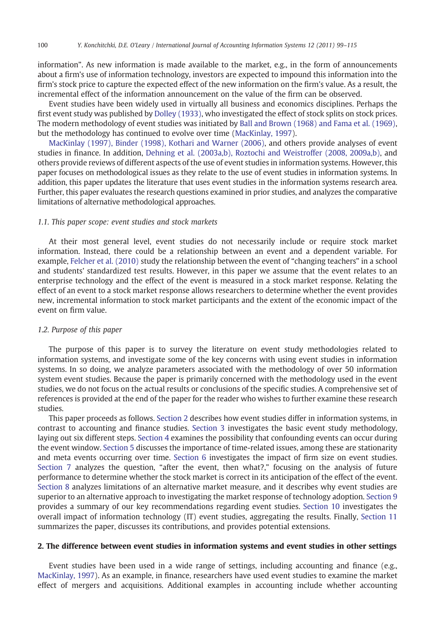information". As new information is made available to the market, e.g., in the form of announcements about a firm's use of information technology, investors are expected to impound this information into the firm's stock price to capture the expected effect of the new information on the firm's value. As a result, the incremental effect of the information announcement on the value of the firm can be observed.

Event studies have been widely used in virtually all business and economics disciplines. Perhaps the first event study was published by [Dolley \(1933\)](#page--1-0), who investigated the effect of stock splits on stock prices. The modern methodology of event studies was initiated by [Ball and Brown \(1968\) and Fama et al. \(1969\),](#page--1-0) but the methodology has continued to evolve over time [\(MacKinlay, 1997\)](#page--1-0).

[MacKinlay \(1997\), Binder \(1998\), Kothari and Warner \(2006\)](#page--1-0), and others provide analyses of event studies in finance. In addition, [Dehning et al. \(2003a,b\), Roztochi and Weistroffer \(2008, 2009a,b\)](#page--1-0), and others provide reviews of different aspects of the use of event studies in information systems. However, this paper focuses on methodological issues as they relate to the use of event studies in information systems. In addition, this paper updates the literature that uses event studies in the information systems research area. Further, this paper evaluates the research questions examined in prior studies, and analyzes the comparative limitations of alternative methodological approaches.

#### 1.1. This paper scope: event studies and stock markets

At their most general level, event studies do not necessarily include or require stock market information. Instead, there could be a relationship between an event and a dependent variable. For example, [Felcher et al. \(2010\)](#page--1-0) study the relationship between the event of "changing teachers" in a school and students' standardized test results. However, in this paper we assume that the event relates to an enterprise technology and the effect of the event is measured in a stock market response. Relating the effect of an event to a stock market response allows researchers to determine whether the event provides new, incremental information to stock market participants and the extent of the economic impact of the event on firm value.

#### 1.2. Purpose of this paper

The purpose of this paper is to survey the literature on event study methodologies related to information systems, and investigate some of the key concerns with using event studies in information systems. In so doing, we analyze parameters associated with the methodology of over 50 information system event studies. Because the paper is primarily concerned with the methodology used in the event studies, we do not focus on the actual results or conclusions of the specific studies. A comprehensive set of references is provided at the end of the paper for the reader who wishes to further examine these research studies.

This paper proceeds as follows. Section 2 describes how event studies differ in information systems, in contrast to accounting and finance studies. [Section 3](#page--1-0) investigates the basic event study methodology, laying out six different steps. [Section 4](#page--1-0) examines the possibility that confounding events can occur during the event window. [Section 5](#page--1-0) discusses the importance of time-related issues, among these are stationarity and meta events occurring over time. [Section 6](#page--1-0) investigates the impact of firm size on event studies. [Section 7](#page--1-0) analyzes the question, "after the event, then what?," focusing on the analysis of future performance to determine whether the stock market is correct in its anticipation of the effect of the event. [Section 8](#page--1-0) analyzes limitations of an alternative market measure, and it describes why event studies are superior to an alternative approach to investigating the market response of technology adoption. [Section 9](#page--1-0) provides a summary of our key recommendations regarding event studies. [Section 10](#page--1-0) investigates the overall impact of information technology (IT) event studies, aggregating the results. Finally, [Section 11](#page--1-0) summarizes the paper, discusses its contributions, and provides potential extensions.

#### 2. The difference between event studies in information systems and event studies in other settings

Event studies have been used in a wide range of settings, including accounting and finance (e.g., [MacKinlay, 1997\)](#page--1-0). As an example, in finance, researchers have used event studies to examine the market effect of mergers and acquisitions. Additional examples in accounting include whether accounting